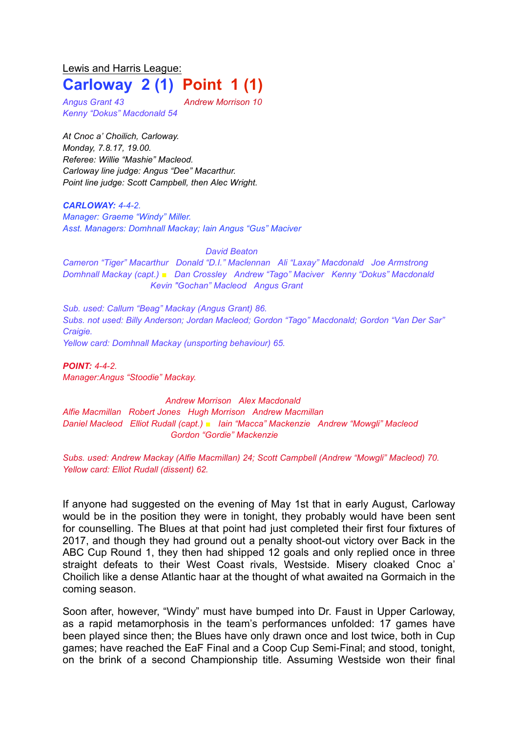## Lewis and Harris League: **Carloway 2 (1) Point 1 (1)**

*Angus Grant 43 Andrew Morrison 10 Kenny "Dokus" Macdonald 54*

*At Cnoc a' Choilich, Carloway. Monday, 7.8.17, 19.00. Referee: Willie "Mashie" Macleod. Carloway line judge: Angus "Dee" Macarthur. Point line judge: Scott Campbell, then Alec Wright.*

*CARLOWAY: 4-4-2. Manager: Graeme "Windy" Miller. Asst. Managers: Domhnall Mackay; Iain Angus "Gus" Maciver*

*David Beaton*

*Cameron "Tiger" Macarthur Donald "D.I." Maclennan Ali "Laxay" Macdonald Joe Armstrong Domhnall Mackay (capt.) ■ Dan Crossley Andrew "Tago" Maciver Kenny "Dokus" Macdonald Kevin "Gochan" Macleod Angus Grant*

*Sub. used: Callum "Beag" Mackay (Angus Grant) 86. Subs. not used: Billy Anderson; Jordan Macleod; Gordon "Tago" Macdonald; Gordon "Van Der Sar" Craigie. Yellow card: Domhnall Mackay (unsporting behaviour) 65.*

*POINT: 4-4-2. Manager:Angus "Stoodie" Mackay.*

*Andrew Morrison Alex Macdonald Alfie Macmillan Robert Jones Hugh Morrison Andrew Macmillan Daniel Macleod Elliot Rudall (capt.) ■ Iain "Macca" Mackenzie Andrew "Mowgli" Macleod Gordon "Gordie" Mackenzie*

*Subs. used: Andrew Mackay (Alfie Macmillan) 24; Scott Campbell (Andrew "Mowgli" Macleod) 70. Yellow card: Elliot Rudall (dissent) 62.*

If anyone had suggested on the evening of May 1st that in early August, Carloway would be in the position they were in tonight, they probably would have been sent for counselling. The Blues at that point had just completed their first four fixtures of 2017, and though they had ground out a penalty shoot-out victory over Back in the ABC Cup Round 1, they then had shipped 12 goals and only replied once in three straight defeats to their West Coast rivals, Westside. Misery cloaked Cnoc a' Choilich like a dense Atlantic haar at the thought of what awaited na Gormaich in the coming season.

Soon after, however, "Windy" must have bumped into Dr. Faust in Upper Carloway, as a rapid metamorphosis in the team's performances unfolded: 17 games have been played since then; the Blues have only drawn once and lost twice, both in Cup games; have reached the EaF Final and a Coop Cup Semi-Final; and stood, tonight, on the brink of a second Championship title. Assuming Westside won their final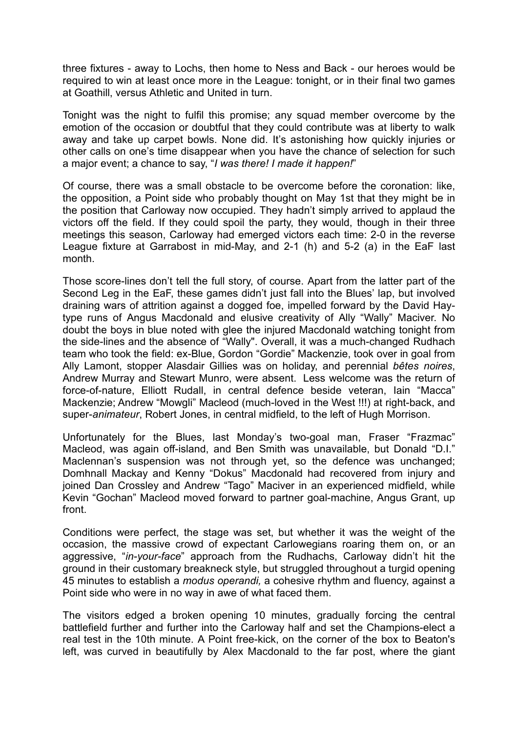three fixtures - away to Lochs, then home to Ness and Back - our heroes would be required to win at least once more in the League: tonight, or in their final two games at Goathill, versus Athletic and United in turn.

Tonight was the night to fulfil this promise; any squad member overcome by the emotion of the occasion or doubtful that they could contribute was at liberty to walk away and take up carpet bowls. None did. It's astonishing how quickly injuries or other calls on one's time disappear when you have the chance of selection for such a major event; a chance to say, "*I was there! I made it happen!*"

Of course, there was a small obstacle to be overcome before the coronation: like, the opposition, a Point side who probably thought on May 1st that they might be in the position that Carloway now occupied. They hadn't simply arrived to applaud the victors off the field. If they could spoil the party, they would, though in their three meetings this season, Carloway had emerged victors each time: 2-0 in the reverse League fixture at Garrabost in mid-May, and 2-1 (h) and 5-2 (a) in the EaF last month.

Those score-lines don't tell the full story, of course. Apart from the latter part of the Second Leg in the EaF, these games didn't just fall into the Blues' lap, but involved draining wars of attrition against a dogged foe, impelled forward by the David Haytype runs of Angus Macdonald and elusive creativity of Ally "Wally" Maciver. No doubt the boys in blue noted with glee the injured Macdonald watching tonight from the side-lines and the absence of "Wally". Overall, it was a much-changed Rudhach team who took the field: ex-Blue, Gordon "Gordie" Mackenzie, took over in goal from Ally Lamont, stopper Alasdair Gillies was on holiday, and perennial *bêtes noires*, Andrew Murray and Stewart Munro, were absent. Less welcome was the return of force-of-nature, Elliott Rudall, in central defence beside veteran, Iain "Macca" Mackenzie; Andrew "Mowgli" Macleod (much-loved in the West !!!) at right-back, and super-*animateur*, Robert Jones, in central midfield, to the left of Hugh Morrison.

Unfortunately for the Blues, last Monday's two-goal man, Fraser "Frazmac" Macleod, was again off-island, and Ben Smith was unavailable, but Donald "D.I." Maclennan's suspension was not through yet, so the defence was unchanged; Domhnall Mackay and Kenny "Dokus" Macdonald had recovered from injury and joined Dan Crossley and Andrew "Tago" Maciver in an experienced midfield, while Kevin "Gochan" Macleod moved forward to partner goal-machine, Angus Grant, up front.

Conditions were perfect, the stage was set, but whether it was the weight of the occasion, the massive crowd of expectant Carlowegians roaring them on, or an aggressive, "*in-your-face*" approach from the Rudhachs, Carloway didn't hit the ground in their customary breakneck style, but struggled throughout a turgid opening 45 minutes to establish a *modus operandi,* a cohesive rhythm and fluency, against a Point side who were in no way in awe of what faced them.

The visitors edged a broken opening 10 minutes, gradually forcing the central battlefield further and further into the Carloway half and set the Champions-elect a real test in the 10th minute. A Point free-kick, on the corner of the box to Beaton's left, was curved in beautifully by Alex Macdonald to the far post, where the giant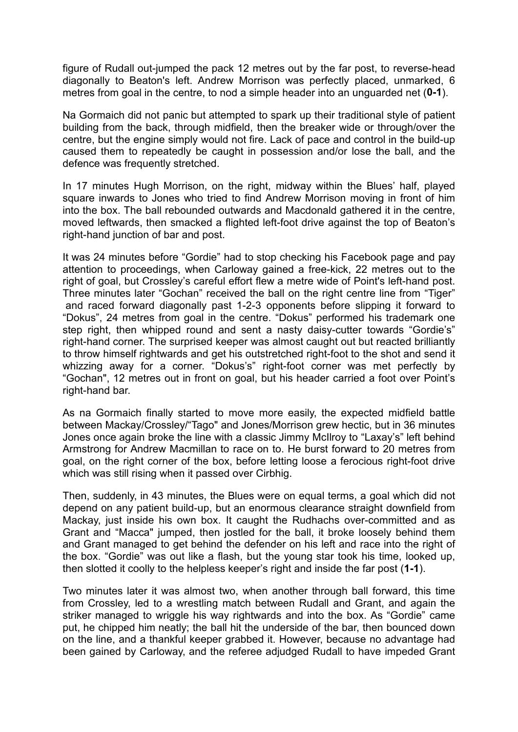figure of Rudall out-jumped the pack 12 metres out by the far post, to reverse-head diagonally to Beaton's left. Andrew Morrison was perfectly placed, unmarked, 6 metres from goal in the centre, to nod a simple header into an unguarded net (**0-1**).

Na Gormaich did not panic but attempted to spark up their traditional style of patient building from the back, through midfield, then the breaker wide or through/over the centre, but the engine simply would not fire. Lack of pace and control in the build-up caused them to repeatedly be caught in possession and/or lose the ball, and the defence was frequently stretched.

In 17 minutes Hugh Morrison, on the right, midway within the Blues' half, played square inwards to Jones who tried to find Andrew Morrison moving in front of him into the box. The ball rebounded outwards and Macdonald gathered it in the centre, moved leftwards, then smacked a flighted left-foot drive against the top of Beaton's right-hand junction of bar and post.

It was 24 minutes before "Gordie" had to stop checking his Facebook page and pay attention to proceedings, when Carloway gained a free-kick, 22 metres out to the right of goal, but Crossley's careful effort flew a metre wide of Point's left-hand post. Three minutes later "Gochan" received the ball on the right centre line from "Tiger" and raced forward diagonally past 1-2-3 opponents before slipping it forward to "Dokus", 24 metres from goal in the centre. "Dokus" performed his trademark one step right, then whipped round and sent a nasty daisy-cutter towards "Gordie's" right-hand corner. The surprised keeper was almost caught out but reacted brilliantly to throw himself rightwards and get his outstretched right-foot to the shot and send it whizzing away for a corner. "Dokus's" right-foot corner was met perfectly by "Gochan", 12 metres out in front on goal, but his header carried a foot over Point's right-hand bar.

As na Gormaich finally started to move more easily, the expected midfield battle between Mackay/Crossley/"Tago" and Jones/Morrison grew hectic, but in 36 minutes Jones once again broke the line with a classic Jimmy McIlroy to "Laxay's" left behind Armstrong for Andrew Macmillan to race on to. He burst forward to 20 metres from goal, on the right corner of the box, before letting loose a ferocious right-foot drive which was still rising when it passed over Cirbhig.

Then, suddenly, in 43 minutes, the Blues were on equal terms, a goal which did not depend on any patient build-up, but an enormous clearance straight downfield from Mackay, just inside his own box. It caught the Rudhachs over-committed and as Grant and "Macca" jumped, then jostled for the ball, it broke loosely behind them and Grant managed to get behind the defender on his left and race into the right of the box. "Gordie" was out like a flash, but the young star took his time, looked up, then slotted it coolly to the helpless keeper's right and inside the far post (**1-1**).

Two minutes later it was almost two, when another through ball forward, this time from Crossley, led to a wrestling match between Rudall and Grant, and again the striker managed to wriggle his way rightwards and into the box. As "Gordie" came put, he chipped him neatly; the ball hit the underside of the bar, then bounced down on the line, and a thankful keeper grabbed it. However, because no advantage had been gained by Carloway, and the referee adjudged Rudall to have impeded Grant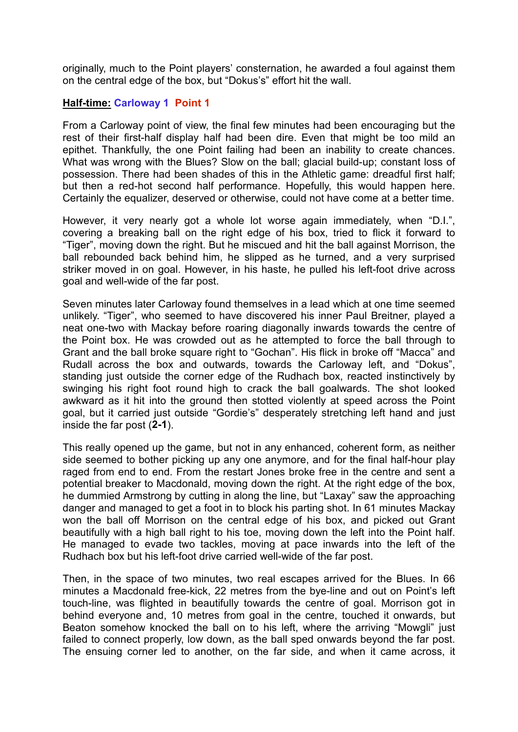originally, much to the Point players' consternation, he awarded a foul against them on the central edge of the box, but "Dokus's" effort hit the wall.

## **Half-time: Carloway 1 Point 1**

From a Carloway point of view, the final few minutes had been encouraging but the rest of their first-half display half had been dire. Even that might be too mild an epithet. Thankfully, the one Point failing had been an inability to create chances. What was wrong with the Blues? Slow on the ball; glacial build-up; constant loss of possession. There had been shades of this in the Athletic game: dreadful first half; but then a red-hot second half performance. Hopefully, this would happen here. Certainly the equalizer, deserved or otherwise, could not have come at a better time.

However, it very nearly got a whole lot worse again immediately, when "D.I.", covering a breaking ball on the right edge of his box, tried to flick it forward to "Tiger", moving down the right. But he miscued and hit the ball against Morrison, the ball rebounded back behind him, he slipped as he turned, and a very surprised striker moved in on goal. However, in his haste, he pulled his left-foot drive across goal and well-wide of the far post.

Seven minutes later Carloway found themselves in a lead which at one time seemed unlikely. "Tiger", who seemed to have discovered his inner Paul Breitner, played a neat one-two with Mackay before roaring diagonally inwards towards the centre of the Point box. He was crowded out as he attempted to force the ball through to Grant and the ball broke square right to "Gochan". His flick in broke off "Macca" and Rudall across the box and outwards, towards the Carloway left, and "Dokus", standing just outside the corner edge of the Rudhach box, reacted instinctively by swinging his right foot round high to crack the ball goalwards. The shot looked awkward as it hit into the ground then stotted violently at speed across the Point goal, but it carried just outside "Gordie's" desperately stretching left hand and just inside the far post (**2-1**).

This really opened up the game, but not in any enhanced, coherent form, as neither side seemed to bother picking up any one anymore, and for the final half-hour play raged from end to end. From the restart Jones broke free in the centre and sent a potential breaker to Macdonald, moving down the right. At the right edge of the box, he dummied Armstrong by cutting in along the line, but "Laxay" saw the approaching danger and managed to get a foot in to block his parting shot. In 61 minutes Mackay won the ball off Morrison on the central edge of his box, and picked out Grant beautifully with a high ball right to his toe, moving down the left into the Point half. He managed to evade two tackles, moving at pace inwards into the left of the Rudhach box but his left-foot drive carried well-wide of the far post.

Then, in the space of two minutes, two real escapes arrived for the Blues. In 66 minutes a Macdonald free-kick, 22 metres from the bye-line and out on Point's left touch-line, was flighted in beautifully towards the centre of goal. Morrison got in behind everyone and, 10 metres from goal in the centre, touched it onwards, but Beaton somehow knocked the ball on to his left, where the arriving "Mowgli" just failed to connect properly, low down, as the ball sped onwards beyond the far post. The ensuing corner led to another, on the far side, and when it came across, it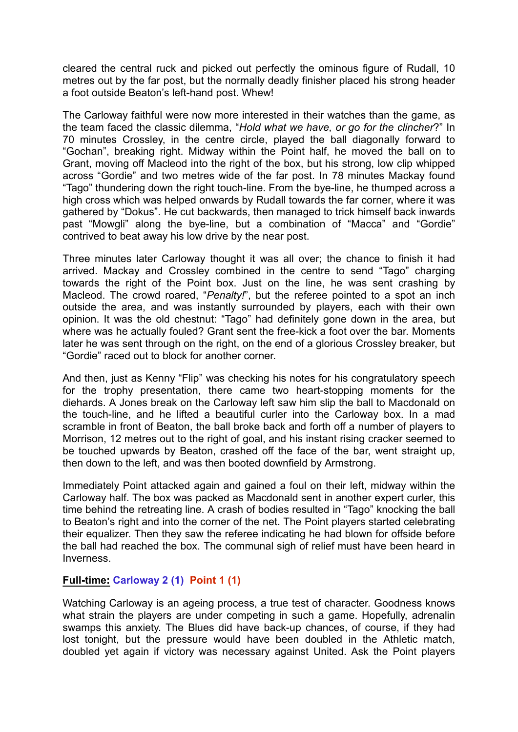cleared the central ruck and picked out perfectly the ominous figure of Rudall, 10 metres out by the far post, but the normally deadly finisher placed his strong header a foot outside Beaton's left-hand post. Whew!

The Carloway faithful were now more interested in their watches than the game, as the team faced the classic dilemma, "*Hold what we have, or go for the clincher*?" In 70 minutes Crossley, in the centre circle, played the ball diagonally forward to "Gochan", breaking right. Midway within the Point half, he moved the ball on to Grant, moving off Macleod into the right of the box, but his strong, low clip whipped across "Gordie" and two metres wide of the far post. In 78 minutes Mackay found "Tago" thundering down the right touch-line. From the bye-line, he thumped across a high cross which was helped onwards by Rudall towards the far corner, where it was gathered by "Dokus". He cut backwards, then managed to trick himself back inwards past "Mowgli" along the bye-line, but a combination of "Macca" and "Gordie" contrived to beat away his low drive by the near post.

Three minutes later Carloway thought it was all over; the chance to finish it had arrived. Mackay and Crossley combined in the centre to send "Tago" charging towards the right of the Point box. Just on the line, he was sent crashing by Macleod. The crowd roared, "*Penalty!*", but the referee pointed to a spot an inch outside the area, and was instantly surrounded by players, each with their own opinion. It was the old chestnut: "Tago" had definitely gone down in the area, but where was he actually fouled? Grant sent the free-kick a foot over the bar. Moments later he was sent through on the right, on the end of a glorious Crossley breaker, but "Gordie" raced out to block for another corner.

And then, just as Kenny "Flip" was checking his notes for his congratulatory speech for the trophy presentation, there came two heart-stopping moments for the diehards. A Jones break on the Carloway left saw him slip the ball to Macdonald on the touch-line, and he lifted a beautiful curler into the Carloway box. In a mad scramble in front of Beaton, the ball broke back and forth off a number of players to Morrison, 12 metres out to the right of goal, and his instant rising cracker seemed to be touched upwards by Beaton, crashed off the face of the bar, went straight up, then down to the left, and was then booted downfield by Armstrong.

Immediately Point attacked again and gained a foul on their left, midway within the Carloway half. The box was packed as Macdonald sent in another expert curler, this time behind the retreating line. A crash of bodies resulted in "Tago" knocking the ball to Beaton's right and into the corner of the net. The Point players started celebrating their equalizer. Then they saw the referee indicating he had blown for offside before the ball had reached the box. The communal sigh of relief must have been heard in Inverness.

## **Full-time: Carloway 2 (1) Point 1 (1)**

Watching Carloway is an ageing process, a true test of character. Goodness knows what strain the players are under competing in such a game. Hopefully, adrenalin swamps this anxiety. The Blues did have back-up chances, of course, if they had lost tonight, but the pressure would have been doubled in the Athletic match, doubled yet again if victory was necessary against United. Ask the Point players